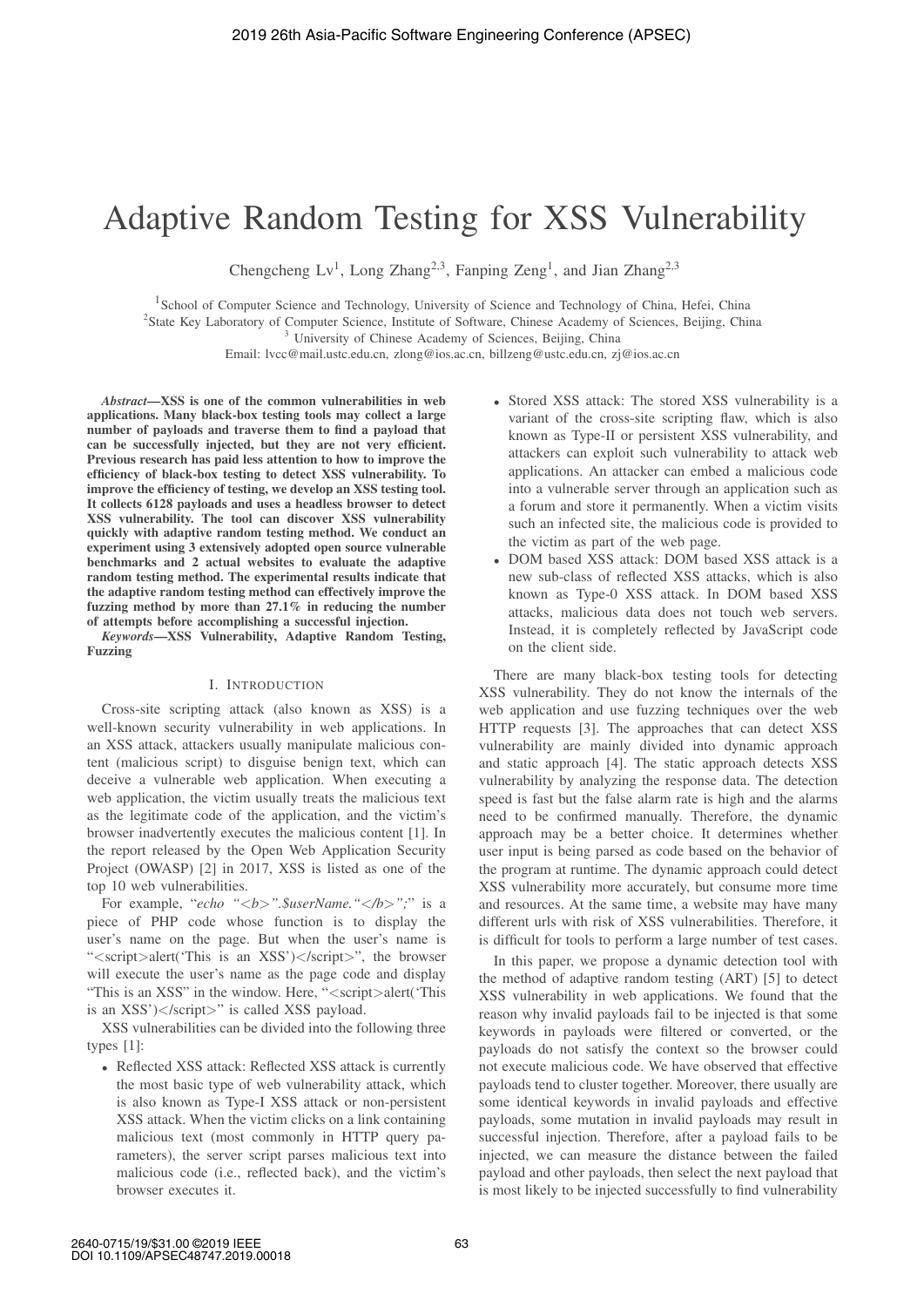# Adaptive Random Testing for XSS Vulnerability

Chengcheng Lv<sup>1</sup>, Long Zhang<sup>2,3</sup>, Fanping Zeng<sup>1</sup>, and Jian Zhang<sup>2,3</sup>

<sup>1</sup>School of Computer Science and Technology, University of Science and Technology of China, Hefei, China

<sup>2</sup>State Key Laboratory of Computer Science, Institute of Software, Chinese Academy of Sciences, Beijing, China

<sup>3</sup> University of Chinese Academy of Sciences, Beijing, China

Email: lvcc@mail.ustc.edu.cn, zlong@ios.ac.cn, billzeng@ustc.edu.cn, zj@ios.ac.cn

*Abstract*—XSS is one of the common vulnerabilities in web applications. Many black-box testing tools may collect a large number of payloads and traverse them to find a payload that can be successfully injected, but they are not very efficient. Previous research has paid less attention to how to improve the efficiency of black-box testing to detect XSS vulnerability. To improve the efficiency of testing, we develop an XSS testing tool. It collects 6128 payloads and uses a headless browser to detect XSS vulnerability. The tool can discover XSS vulnerability quickly with adaptive random testing method. We conduct an experiment using 3 extensively adopted open source vulnerable benchmarks and 2 actual websites to evaluate the adaptive random testing method. The experimental results indicate that the adaptive random testing method can effectively improve the fuzzing method by more than 27.1% in reducing the number of attempts before accomplishing a successful injection.

*Keywords*—XSS Vulnerability, Adaptive Random Testing, Fuzzing

### I. INTRODUCTION

Cross-site scripting attack (also known as XSS) is a well-known security vulnerability in web applications. In an XSS attack, attackers usually manipulate malicious content (malicious script) to disguise benign text, which can deceive a vulnerable web application. When executing a web application, the victim usually treats the malicious text as the legitimate code of the application, and the victim's browser inadvertently executes the malicious content [1]. In the report released by the Open Web Application Security Project (OWASP) [2] in 2017, XSS is listed as one of the top 10 web vulnerabilities.

For example, "*echo "*<*b*>*".\$userName."*<*/b*>*";*" is a piece of PHP code whose function is to display the user's name on the page. But when the user's name is "<script>alert('This is an XSS')</script>", the browser will execute the user's name as the page code and display "This is an XSS" in the window. Here, "<script>alert('This is an XSS')</script>" is called XSS payload.

XSS vulnerabilities can be divided into the following three types [1]:

• Reflected XSS attack: Reflected XSS attack is currently the most basic type of web vulnerability attack, which is also known as Type-I XSS attack or non-persistent XSS attack. When the victim clicks on a link containing malicious text (most commonly in HTTP query parameters), the server script parses malicious text into malicious code (i.e., reflected back), and the victim's browser executes it.

- Stored XSS attack: The stored XSS vulnerability is a variant of the cross-site scripting flaw, which is also known as Type-II or persistent XSS vulnerability, and attackers can exploit such vulnerability to attack web applications. An attacker can embed a malicious code into a vulnerable server through an application such as a forum and store it permanently. When a victim visits such an infected site, the malicious code is provided to the victim as part of the web page.
- DOM based XSS attack: DOM based XSS attack is a new sub-class of reflected XSS attacks, which is also known as Type-0 XSS attack. In DOM based XSS attacks, malicious data does not touch web servers. Instead, it is completely reflected by JavaScript code on the client side.

There are many black-box testing tools for detecting XSS vulnerability. They do not know the internals of the web application and use fuzzing techniques over the web HTTP requests [3]. The approaches that can detect XSS vulnerability are mainly divided into dynamic approach and static approach [4]. The static approach detects XSS vulnerability by analyzing the response data. The detection speed is fast but the false alarm rate is high and the alarms need to be confirmed manually. Therefore, the dynamic approach may be a better choice. It determines whether user input is being parsed as code based on the behavior of the program at runtime. The dynamic approach could detect XSS vulnerability more accurately, but consume more time and resources. At the same time, a website may have many different urls with risk of XSS vulnerabilities. Therefore, it is difficult for tools to perform a large number of test cases.

In this paper, we propose a dynamic detection tool with the method of adaptive random testing (ART) [5] to detect XSS vulnerability in web applications. We found that the reason why invalid payloads fail to be injected is that some keywords in payloads were filtered or converted, or the payloads do not satisfy the context so the browser could not execute malicious code. We have observed that effective payloads tend to cluster together. Moreover, there usually are some identical keywords in invalid payloads and effective payloads, some mutation in invalid payloads may result in successful injection. Therefore, after a payload fails to be injected, we can measure the distance between the failed payload and other payloads, then select the next payload that is most likely to be injected successfully to find vulnerability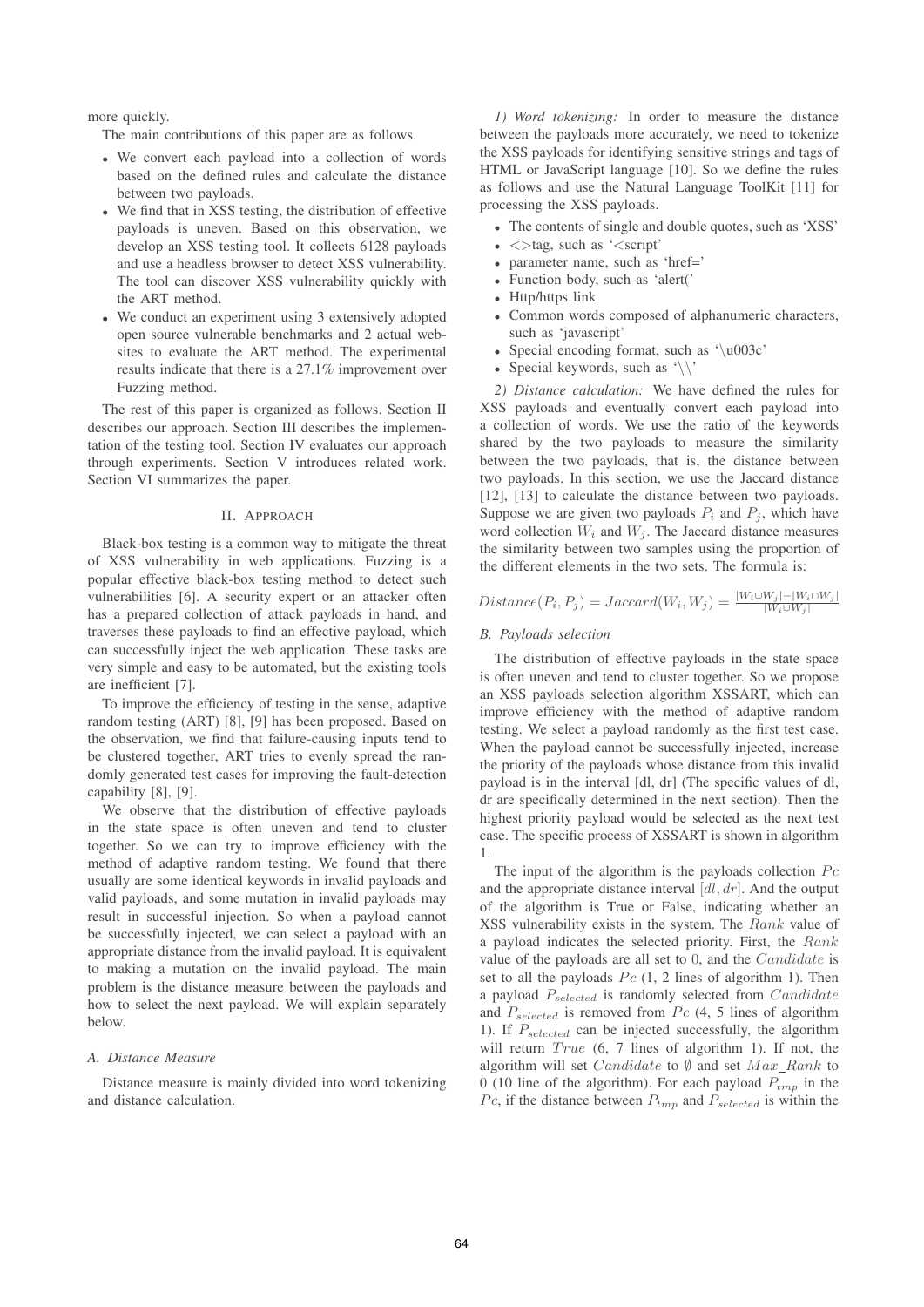more quickly.

The main contributions of this paper are as follows.

- We convert each payload into a collection of words based on the defined rules and calculate the distance between two payloads.
- We find that in XSS testing, the distribution of effective payloads is uneven. Based on this observation, we develop an XSS testing tool. It collects 6128 payloads and use a headless browser to detect XSS vulnerability. The tool can discover XSS vulnerability quickly with the ART method.
- We conduct an experiment using 3 extensively adopted open source vulnerable benchmarks and 2 actual websites to evaluate the ART method. The experimental results indicate that there is a 27.1% improvement over Fuzzing method.

The rest of this paper is organized as follows. Section II describes our approach. Section III describes the implementation of the testing tool. Section IV evaluates our approach through experiments. Section V introduces related work. Section VI summarizes the paper.

#### II. APPROACH

Black-box testing is a common way to mitigate the threat of XSS vulnerability in web applications. Fuzzing is a popular effective black-box testing method to detect such vulnerabilities [6]. A security expert or an attacker often has a prepared collection of attack payloads in hand, and traverses these payloads to find an effective payload, which can successfully inject the web application. These tasks are very simple and easy to be automated, but the existing tools are inefficient [7].

To improve the efficiency of testing in the sense, adaptive random testing (ART) [8], [9] has been proposed. Based on the observation, we find that failure-causing inputs tend to be clustered together, ART tries to evenly spread the randomly generated test cases for improving the fault-detection capability [8], [9].

We observe that the distribution of effective payloads in the state space is often uneven and tend to cluster together. So we can try to improve efficiency with the method of adaptive random testing. We found that there usually are some identical keywords in invalid payloads and valid payloads, and some mutation in invalid payloads may result in successful injection. So when a payload cannot be successfully injected, we can select a payload with an appropriate distance from the invalid payload. It is equivalent to making a mutation on the invalid payload. The main problem is the distance measure between the payloads and how to select the next payload. We will explain separately below.

#### *A. Distance Measure*

Distance measure is mainly divided into word tokenizing and distance calculation.

*1) Word tokenizing:* In order to measure the distance between the payloads more accurately, we need to tokenize the XSS payloads for identifying sensitive strings and tags of HTML or JavaScript language [10]. So we define the rules as follows and use the Natural Language ToolKit [11] for processing the XSS payloads.

- The contents of single and double quotes, such as 'XSS'
- $\bullet$   $\lt$  >tag, such as ' $\lt$ script'
- parameter name, such as 'href='
- Function body, such as 'alert('
- Http/https link
- Common words composed of alphanumeric characters, such as 'javascript'
- Special encoding format, such as '\u003c'
- Special keywords, such as  $\langle \rangle$

*2) Distance calculation:* We have defined the rules for XSS payloads and eventually convert each payload into a collection of words. We use the ratio of the keywords shared by the two payloads to measure the similarity between the two payloads, that is, the distance between two payloads. In this section, we use the Jaccard distance [12], [13] to calculate the distance between two payloads. Suppose we are given two payloads  $P_i$  and  $P_j$ , which have word collection  $W_i$  and  $W_j$ . The Jaccard distance measures the similarity between two samples using the proportion of the different elements in the two sets. The formula is:

# $Distance(P_i, P_j) = Jaccard(W_i, W_j) = \frac{|W_i \cup W_j| - |W_i \cap W_j|}{|W_i \cup W_j|}$

# *B. Payloads selection*

The distribution of effective payloads in the state space is often uneven and tend to cluster together. So we propose an XSS payloads selection algorithm XSSART, which can improve efficiency with the method of adaptive random testing. We select a payload randomly as the first test case. When the payload cannot be successfully injected, increase the priority of the payloads whose distance from this invalid payload is in the interval [dl, dr] (The specific values of dl, dr are specifically determined in the next section). Then the highest priority payload would be selected as the next test case. The specific process of XSSART is shown in algorithm 1.

The input of the algorithm is the payloads collection  $P_c$ and the appropriate distance interval  $[d, dr]$ . And the output of the algorithm is True or False, indicating whether an XSS vulnerability exists in the system. The Rank value of a payload indicates the selected priority. First, the Rank value of the payloads are all set to 0, and the Candidate is set to all the payloads  $P_c$  (1, 2 lines of algorithm 1). Then a payload  $P_{selected}$  is randomly selected from  $Candidate$ and  $P_{selected}$  is removed from Pc (4, 5 lines of algorithm 1). If  $P_{selected}$  can be injected successfully, the algorithm will return  $True$  (6, 7 lines of algorithm 1). If not, the algorithm will set  $Candidate$  to  $\emptyset$  and set  $Max\_Rank$  to 0 (10 line of the algorithm). For each payload  $P_{tmn}$  in the Pc, if the distance between  $P_{tmp}$  and  $P_{selected}$  is within the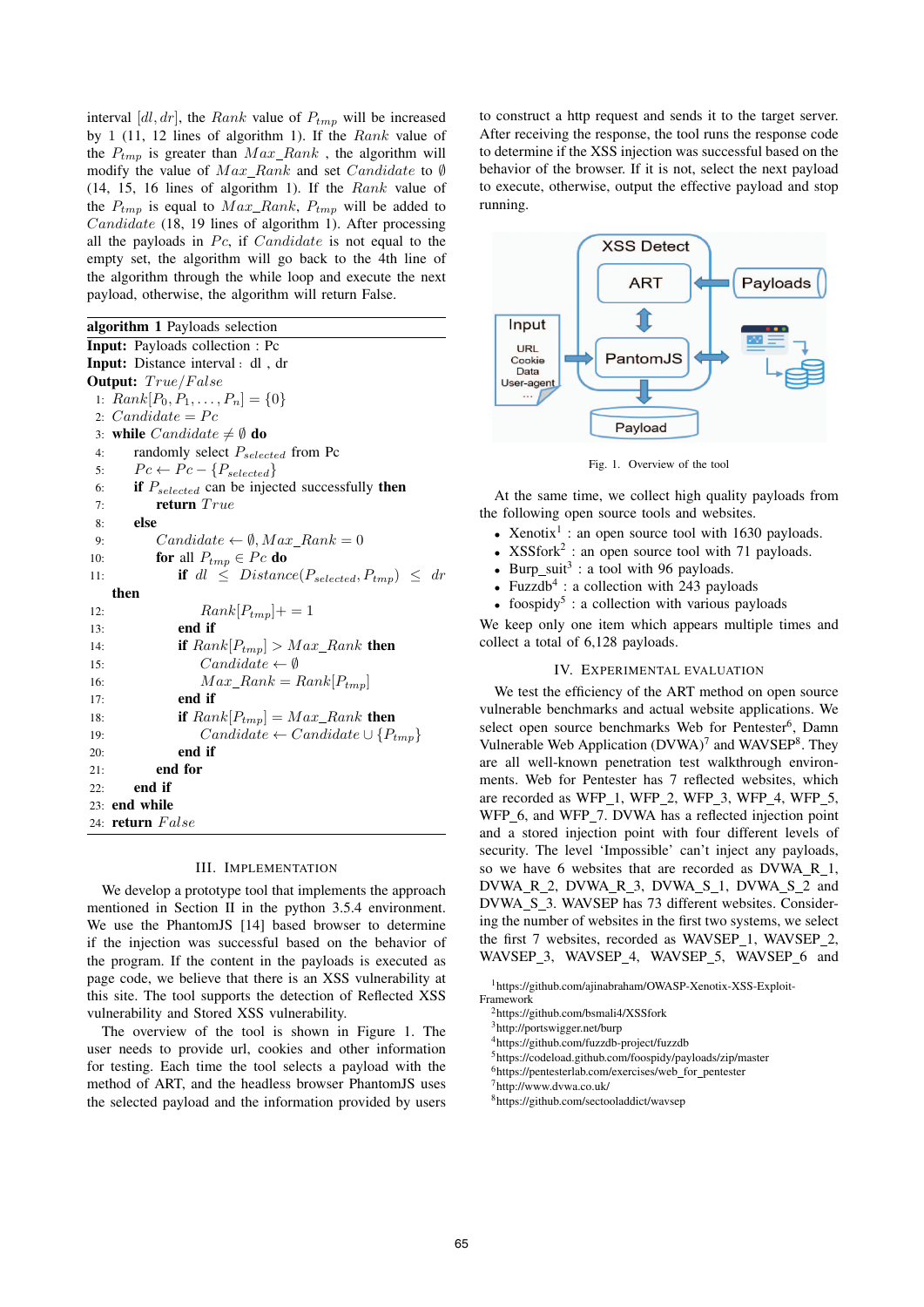interval  $[d, dr]$ , the Rank value of  $P_{tmp}$  will be increased by 1 (11, 12 lines of algorithm 1). If the  $Rank$  value of the  $P_{tmp}$  is greater than  $Max\_Rank$ , the algorithm will modify the value of  $Max\_Rank$  and set  $Candidate$  to Ø (14, 15, 16 lines of algorithm 1). If the Rank value of the  $P_{tmp}$  is equal to  $Max\_Rank$ ,  $P_{tmp}$  will be added to Candidate (18, 19 lines of algorithm 1). After processing all the payloads in  $P_c$ , if  $Candidate$  is not equal to the empty set, the algorithm will go back to the 4th line of the algorithm through the while loop and execute the next payload, otherwise, the algorithm will return False.

algorithm 1 Payloads selection Input: Payloads collection : Pc Input: Distance interval: dl, dr Output: True/False 1:  $Rank[P_0, P_1, \ldots, P_n] = \{0\}$ 2:  $Candidate = Pc$ 3: while  $Candiate \neq \emptyset$  do 4: randomly select  $P_{selected}$  from Pc 5:  $P_c \leftarrow P_c - \{P_{selected}\}$ 6: if  $P_{selected}$  can be injected successfully then 7: **return**  $True$ 8: else 9:  $Candidate \leftarrow \emptyset, Max Rank = 0$ 10: **for** all  $P_{tmp} \in Pc$  **do** 11: **if** dl  $\leq$  Distance( $P_{selected}, P_{tmp}) \leq dr$ then 12:  $Rank[P_{tmp}] += 1$ 13: end if 14: **if**  $Rank[P_{tmp}] > Max\_Rank$  then 15:  $Candidate \leftarrow \emptyset$ 16:  $Max\_Rank = Rank[P_{tmp}]$ 17: end if 18: **if**  $Rank[P_{tmp}] = Max\_Rank$  **then** 19:  $Candidate \leftarrow Candidate \cup \{P_{tmp}\}$ 20: end if 21: end for 22: end if 23: end while 24: return False

#### III. IMPLEMENTATION

We develop a prototype tool that implements the approach mentioned in Section II in the python 3.5.4 environment. We use the PhantomJS [14] based browser to determine if the injection was successful based on the behavior of the program. If the content in the payloads is executed as page code, we believe that there is an XSS vulnerability at this site. The tool supports the detection of Reflected XSS vulnerability and Stored XSS vulnerability.

The overview of the tool is shown in Figure 1. The user needs to provide url, cookies and other information for testing. Each time the tool selects a payload with the method of ART, and the headless browser PhantomJS uses the selected payload and the information provided by users

to construct a http request and sends it to the target server. After receiving the response, the tool runs the response code to determine if the XSS injection was successful based on the behavior of the browser. If it is not, select the next payload to execute, otherwise, output the effective payload and stop running.



Fig. 1. Overview of the tool

At the same time, we collect high quality payloads from the following open source tools and websites.

- Xenotix<sup>1</sup> : an open source tool with 1630 payloads.
- $XSSfork<sup>2</sup>$ : an open source tool with 71 payloads.
- Burp\_suit<sup>3</sup> : a tool with 96 payloads.
- Fuzzdb<sup>4</sup>: a collection with  $243$  payloads
- foospidy<sup>5</sup>: a collection with various payloads

We keep only one item which appears multiple times and collect a total of 6,128 payloads.

# IV. EXPERIMENTAL EVALUATION

We test the efficiency of the ART method on open source vulnerable benchmarks and actual website applications. We select open source benchmarks Web for Pentester<sup>6</sup>, Damn Vulnerable Web Application  $(DVWA)^7$  and WAVSEP<sup>8</sup>. They are all well-known penetration test walkthrough environments. Web for Pentester has 7 reflected websites, which are recorded as WFP\_1, WFP\_2, WFP\_3, WFP\_4, WFP\_5, WFP<sub>6</sub>, and WFP<sub>1</sub>7. DVWA has a reflected injection point and a stored injection point with four different levels of security. The level 'Impossible' can't inject any payloads, so we have 6 websites that are recorded as DVWA\_R\_1, DVWA\_R\_2, DVWA\_R\_3, DVWA\_S\_1, DVWA\_S\_2 and DVWA\_S\_3. WAVSEP has 73 different websites. Considering the number of websites in the first two systems, we select the first 7 websites, recorded as WAVSEP\_1, WAVSEP\_2, WAVSEP\_3, WAVSEP\_4, WAVSEP\_5, WAVSEP\_6 and

1https://github.com/ajinabraham/OWASP-Xenotix-XSS-Exploit-Framework

3http://portswigger.net/burp

5https://codeload.github.com/foospidy/payloads/zip/master

<sup>6</sup>https://pentesterlab.com/exercises/web\_for\_pentester

- 7http://www.dvwa.co.uk/
- 8https://github.com/sectooladdict/wavsep

<sup>2</sup>https://github.com/bsmali4/XSSfork

<sup>4</sup>https://github.com/fuzzdb-project/fuzzdb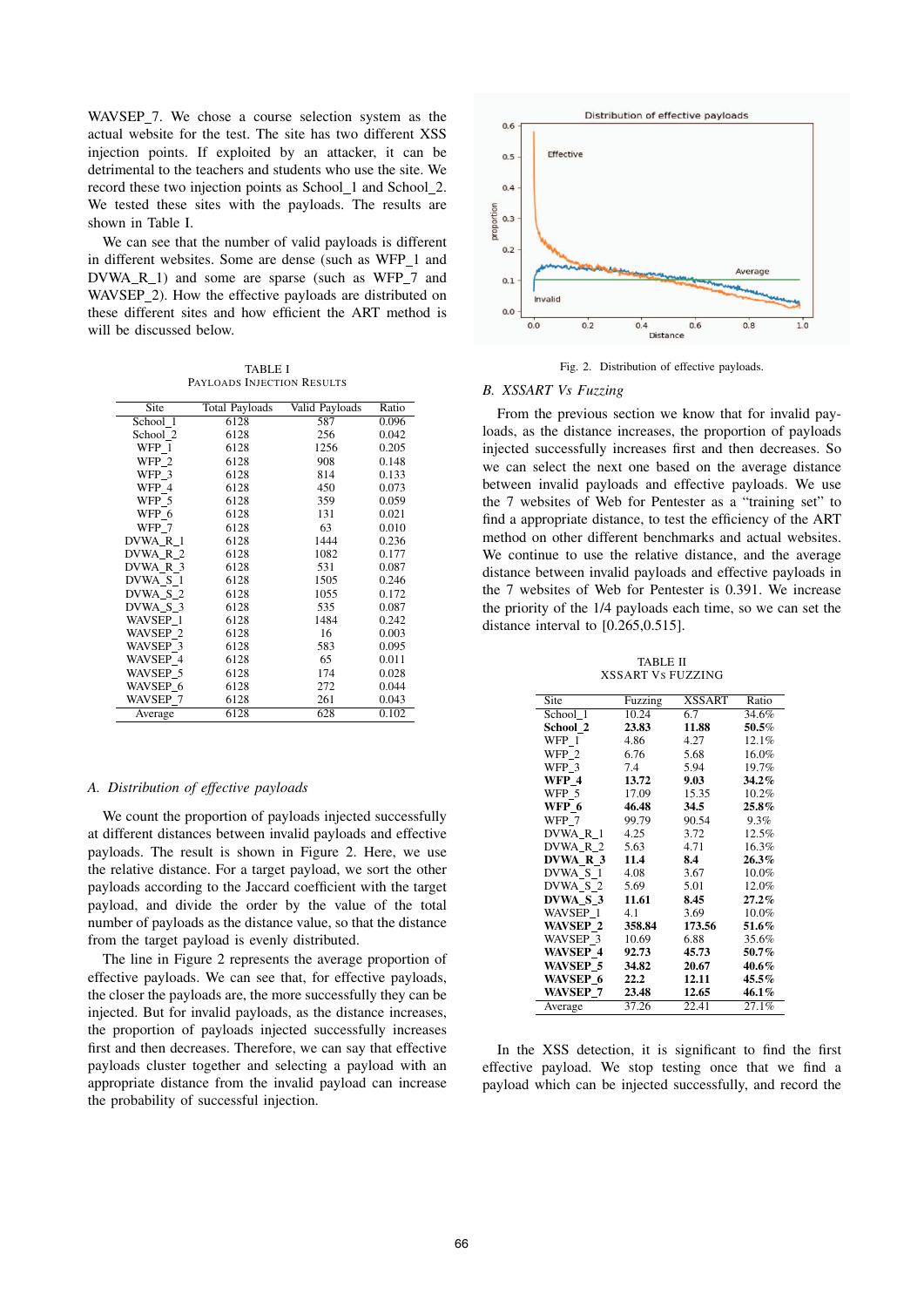WAVSEP 7. We chose a course selection system as the actual website for the test. The site has two different XSS injection points. If exploited by an attacker, it can be detrimental to the teachers and students who use the site. We record these two injection points as School 1 and School 2. We tested these sites with the payloads. The results are shown in Table I.

We can see that the number of valid payloads is different in different websites. Some are dense (such as WFP 1 and DVWA\_R\_1) and some are sparse (such as WFP\_7 and WAVSEP\_2). How the effective payloads are distributed on these different sites and how efficient the ART method is will be discussed below.

TABLE I PAYLOADS INJECTION RESULTS

| Site     | <b>Total Payloads</b> | Valid Payloads | Ratio |
|----------|-----------------------|----------------|-------|
| School 1 | 6128                  | 587            | 0.096 |
| School 2 | 6128                  | 256            | 0.042 |
| WFP 1    | 6128                  | 1256           | 0.205 |
| WFP 2    | 6128                  | 908            | 0.148 |
| WFP 3    | 6128                  | 814            | 0.133 |
| WFP 4    | 6128                  | 450            | 0.073 |
| WFP 5    | 6128                  | 359            | 0.059 |
| WFP 6    | 6128                  | 131            | 0.021 |
| WFP 7    | 6128                  | 63             | 0.010 |
| DVWA R 1 | 6128                  | 1444           | 0.236 |
| DVWA R 2 | 6128                  | 1082           | 0.177 |
| DVWA R 3 | 6128                  | 531            | 0.087 |
| DVWA S 1 | 6128                  | 1505           | 0.246 |
| DVWA_S_2 | 6128                  | 1055           | 0.172 |
| DVWA S 3 | 6128                  | 535            | 0.087 |
| WAVSEP 1 | 6128                  | 1484           | 0.242 |
| WAVSEP 2 | 6128                  | 16             | 0.003 |
| WAVSEP 3 | 6128                  | 583            | 0.095 |
| WAVSEP 4 | 6128                  | 65             | 0.011 |
| WAVSEP 5 | 6128                  | 174            | 0.028 |
| WAVSEP 6 | 6128                  | 272            | 0.044 |
| WAVSEP 7 | 6128                  | 261            | 0.043 |
| Average  | 6128                  | 628            | 0.102 |

# *A. Distribution of effective payloads*

We count the proportion of payloads injected successfully at different distances between invalid payloads and effective payloads. The result is shown in Figure 2. Here, we use the relative distance. For a target payload, we sort the other payloads according to the Jaccard coefficient with the target payload, and divide the order by the value of the total number of payloads as the distance value, so that the distance from the target payload is evenly distributed.

The line in Figure 2 represents the average proportion of effective payloads. We can see that, for effective payloads, the closer the payloads are, the more successfully they can be injected. But for invalid payloads, as the distance increases, the proportion of payloads injected successfully increases first and then decreases. Therefore, we can say that effective payloads cluster together and selecting a payload with an appropriate distance from the invalid payload can increase the probability of successful injection.



Fig. 2. Distribution of effective payloads.

#### *B. XSSART Vs Fuzzing*

From the previous section we know that for invalid payloads, as the distance increases, the proportion of payloads injected successfully increases first and then decreases. So we can select the next one based on the average distance between invalid payloads and effective payloads. We use the 7 websites of Web for Pentester as a "training set" to find a appropriate distance, to test the efficiency of the ART method on other different benchmarks and actual websites. We continue to use the relative distance, and the average distance between invalid payloads and effective payloads in the 7 websites of Web for Pentester is 0.391. We increase the priority of the 1/4 payloads each time, so we can set the distance interval to [0.265,0.515].

TABLE II XSSART VS FUZZING

| Site            | Fuzzing | <b>XSSART</b> | Ratio    |
|-----------------|---------|---------------|----------|
| School 1        | 10.24   | 6.7           | 34.6%    |
| School 2        | 23.83   | 11.88         | 50.5%    |
| WFP 1           | 4.86    | 4.27          | 12.1%    |
| WFP 2           | 6.76    | 5.68          | 16.0%    |
| WFP 3           | 7.4     | 5.94          | 19.7%    |
| WFP 4           | 13.72   | 9.03          | 34.2%    |
| WFP 5           | 17.09   | 15.35         | 10.2%    |
| WFP 6           | 46.48   | 34.5          | $25.8\%$ |
| WFP 7           | 99.79   | 90.54         | 9.3%     |
| DVWA R 1        | 4.25    | 3.72          | 12.5%    |
| DVWA R 2        | 5.63    | 4.71          | 16.3%    |
| DVWA R 3        | 11.4    | 8.4           | 26.3%    |
| DVWA S 1        | 4.08    | 3.67          | $10.0\%$ |
| DVWA S 2        | 5.69    | 5.01          | 12.0%    |
| DVWA S 3        | 11.61   | 8.45          | $27.2\%$ |
| WAVSEP 1        | 4.1     | 3.69          | $10.0\%$ |
| WAVSEP 2        | 358.84  | 173.56        | 51.6%    |
| WAVSEP 3        | 10.69   | 6.88          | 35.6%    |
| <b>WAVSEP 4</b> | 92.73   | 45.73         | 50.7%    |
| WAVSEP 5        | 34.82   | 20.67         | $40.6\%$ |
| WAVSEP 6        | 22.2    | 12.11         | 45.5%    |
| <b>WAVSEP 7</b> | 23.48   | 12.65         | 46.1%    |
| Average         | 37.26   | 22.41         | 27.1%    |

In the XSS detection, it is significant to find the first effective payload. We stop testing once that we find a payload which can be injected successfully, and record the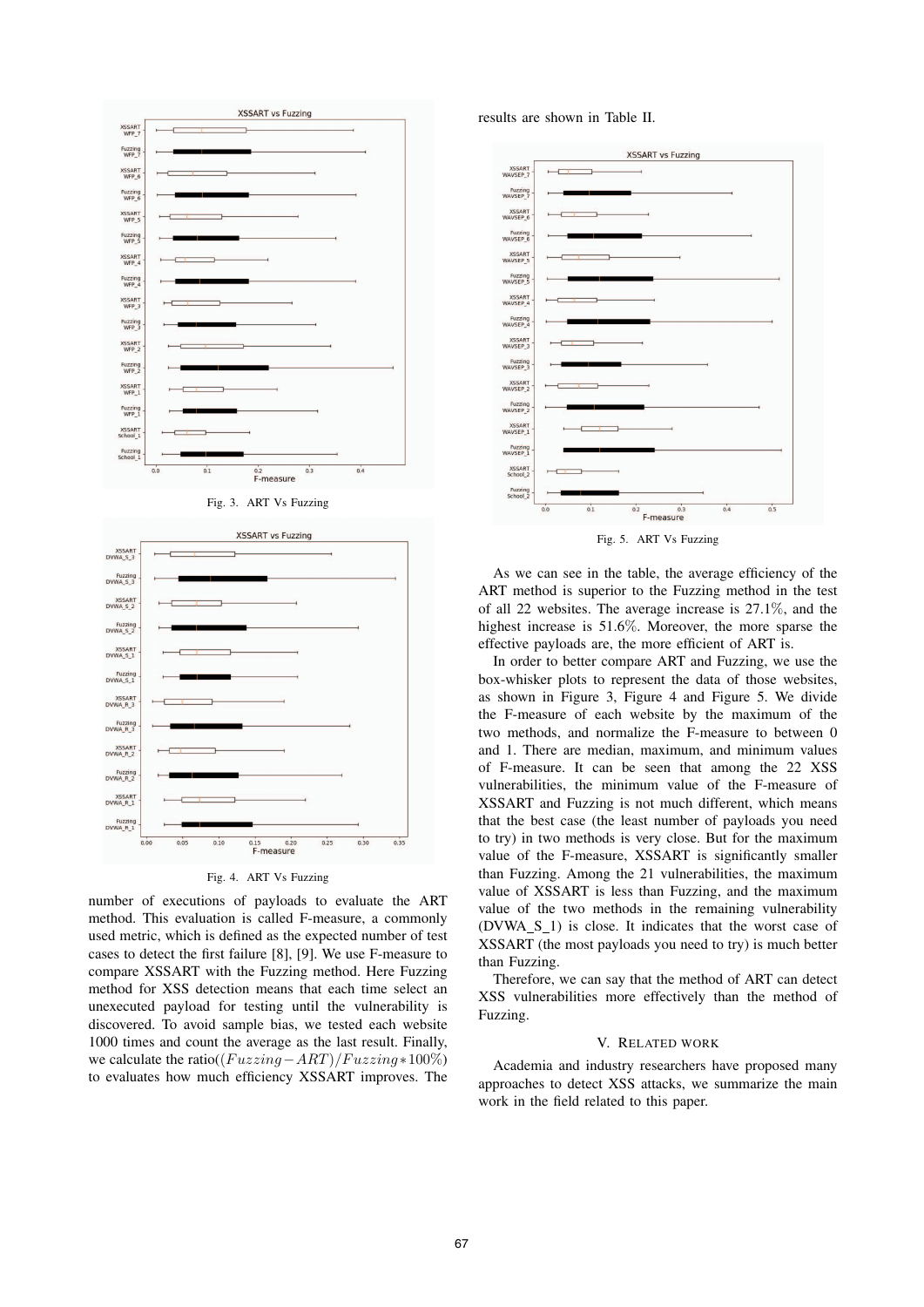

Fig. 4. ART Vs Fuzzing

number of executions of payloads to evaluate the ART method. This evaluation is called F-measure, a commonly used metric, which is defined as the expected number of test cases to detect the first failure [8], [9]. We use F-measure to compare XSSART with the Fuzzing method. Here Fuzzing method for XSS detection means that each time select an unexecuted payload for testing until the vulnerability is discovered. To avoid sample bias, we tested each website 1000 times and count the average as the last result. Finally, we calculate the ratio( $(Fuzzing-ART)/Fuzzing * 100\%)$ to evaluates how much efficiency XSSART improves. The

results are shown in Table II.



Fig. 5. ART Vs Fuzzing

As we can see in the table, the average efficiency of the ART method is superior to the Fuzzing method in the test of all 22 websites. The average increase is 27.1%, and the highest increase is 51.6%. Moreover, the more sparse the effective payloads are, the more efficient of ART is.

In order to better compare ART and Fuzzing, we use the box-whisker plots to represent the data of those websites, as shown in Figure 3, Figure 4 and Figure 5. We divide the F-measure of each website by the maximum of the two methods, and normalize the F-measure to between 0 and 1. There are median, maximum, and minimum values of F-measure. It can be seen that among the 22 XSS vulnerabilities, the minimum value of the F-measure of XSSART and Fuzzing is not much different, which means that the best case (the least number of payloads you need to try) in two methods is very close. But for the maximum value of the F-measure, XSSART is significantly smaller than Fuzzing. Among the 21 vulnerabilities, the maximum value of XSSART is less than Fuzzing, and the maximum value of the two methods in the remaining vulnerability  $(DVWA_S_1)$  is close. It indicates that the worst case of XSSART (the most payloads you need to try) is much better than Fuzzing.

Therefore, we can say that the method of ART can detect XSS vulnerabilities more effectively than the method of Fuzzing.

### V. RELATED WORK

Academia and industry researchers have proposed many approaches to detect XSS attacks, we summarize the main work in the field related to this paper.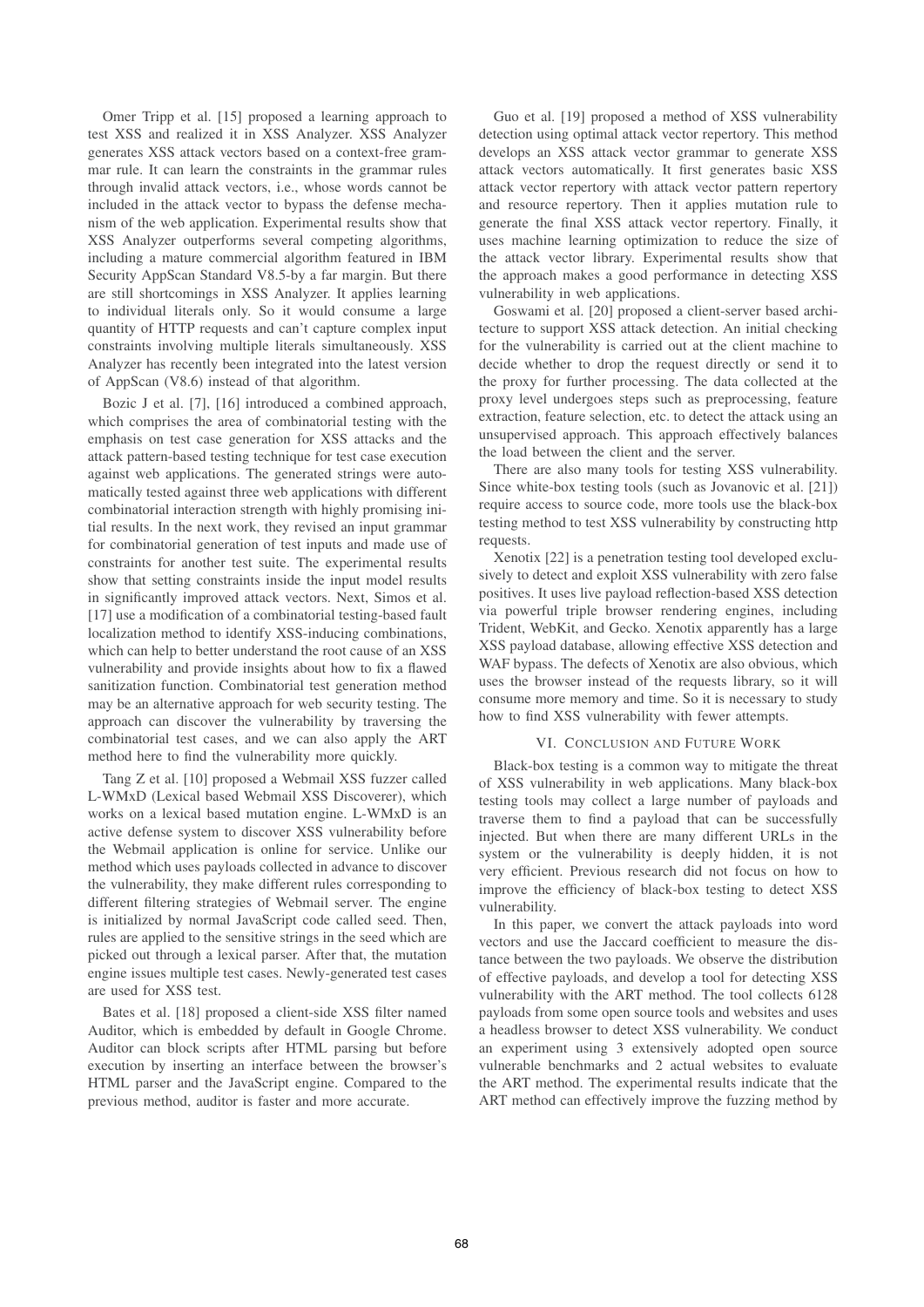Omer Tripp et al. [15] proposed a learning approach to test XSS and realized it in XSS Analyzer. XSS Analyzer generates XSS attack vectors based on a context-free grammar rule. It can learn the constraints in the grammar rules through invalid attack vectors, i.e., whose words cannot be included in the attack vector to bypass the defense mechanism of the web application. Experimental results show that XSS Analyzer outperforms several competing algorithms, including a mature commercial algorithm featured in IBM Security AppScan Standard V8.5-by a far margin. But there are still shortcomings in XSS Analyzer. It applies learning to individual literals only. So it would consume a large quantity of HTTP requests and can't capture complex input constraints involving multiple literals simultaneously. XSS Analyzer has recently been integrated into the latest version of AppScan (V8.6) instead of that algorithm.

Bozic J et al. [7], [16] introduced a combined approach, which comprises the area of combinatorial testing with the emphasis on test case generation for XSS attacks and the attack pattern-based testing technique for test case execution against web applications. The generated strings were automatically tested against three web applications with different combinatorial interaction strength with highly promising initial results. In the next work, they revised an input grammar for combinatorial generation of test inputs and made use of constraints for another test suite. The experimental results show that setting constraints inside the input model results in significantly improved attack vectors. Next, Simos et al. [17] use a modification of a combinatorial testing-based fault localization method to identify XSS-inducing combinations, which can help to better understand the root cause of an XSS vulnerability and provide insights about how to fix a flawed sanitization function. Combinatorial test generation method may be an alternative approach for web security testing. The approach can discover the vulnerability by traversing the combinatorial test cases, and we can also apply the ART method here to find the vulnerability more quickly.

Tang Z et al. [10] proposed a Webmail XSS fuzzer called L-WMxD (Lexical based Webmail XSS Discoverer), which works on a lexical based mutation engine. L-WMxD is an active defense system to discover XSS vulnerability before the Webmail application is online for service. Unlike our method which uses payloads collected in advance to discover the vulnerability, they make different rules corresponding to different filtering strategies of Webmail server. The engine is initialized by normal JavaScript code called seed. Then, rules are applied to the sensitive strings in the seed which are picked out through a lexical parser. After that, the mutation engine issues multiple test cases. Newly-generated test cases are used for XSS test.

Bates et al. [18] proposed a client-side XSS filter named Auditor, which is embedded by default in Google Chrome. Auditor can block scripts after HTML parsing but before execution by inserting an interface between the browser's HTML parser and the JavaScript engine. Compared to the previous method, auditor is faster and more accurate.

Guo et al. [19] proposed a method of XSS vulnerability detection using optimal attack vector repertory. This method develops an XSS attack vector grammar to generate XSS attack vectors automatically. It first generates basic XSS attack vector repertory with attack vector pattern repertory and resource repertory. Then it applies mutation rule to generate the final XSS attack vector repertory. Finally, it uses machine learning optimization to reduce the size of the attack vector library. Experimental results show that the approach makes a good performance in detecting XSS vulnerability in web applications.

Goswami et al. [20] proposed a client-server based architecture to support XSS attack detection. An initial checking for the vulnerability is carried out at the client machine to decide whether to drop the request directly or send it to the proxy for further processing. The data collected at the proxy level undergoes steps such as preprocessing, feature extraction, feature selection, etc. to detect the attack using an unsupervised approach. This approach effectively balances the load between the client and the server.

There are also many tools for testing XSS vulnerability. Since white-box testing tools (such as Jovanovic et al. [21]) require access to source code, more tools use the black-box testing method to test XSS vulnerability by constructing http requests.

Xenotix [22] is a penetration testing tool developed exclusively to detect and exploit XSS vulnerability with zero false positives. It uses live payload reflection-based XSS detection via powerful triple browser rendering engines, including Trident, WebKit, and Gecko. Xenotix apparently has a large XSS payload database, allowing effective XSS detection and WAF bypass. The defects of Xenotix are also obvious, which uses the browser instead of the requests library, so it will consume more memory and time. So it is necessary to study how to find XSS vulnerability with fewer attempts.

#### VI. CONCLUSION AND FUTURE WORK

Black-box testing is a common way to mitigate the threat of XSS vulnerability in web applications. Many black-box testing tools may collect a large number of payloads and traverse them to find a payload that can be successfully injected. But when there are many different URLs in the system or the vulnerability is deeply hidden, it is not very efficient. Previous research did not focus on how to improve the efficiency of black-box testing to detect XSS vulnerability.

In this paper, we convert the attack payloads into word vectors and use the Jaccard coefficient to measure the distance between the two payloads. We observe the distribution of effective payloads, and develop a tool for detecting XSS vulnerability with the ART method. The tool collects 6128 payloads from some open source tools and websites and uses a headless browser to detect XSS vulnerability. We conduct an experiment using 3 extensively adopted open source vulnerable benchmarks and 2 actual websites to evaluate the ART method. The experimental results indicate that the ART method can effectively improve the fuzzing method by